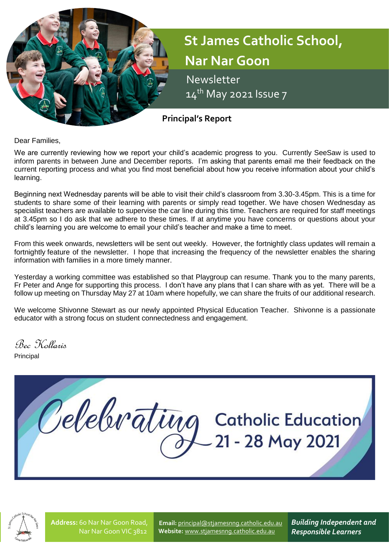

Dear Families,

We are currently reviewing how we report your child's academic progress to you. Currently SeeSaw is used to inform parents in between June and December reports. I'm asking that parents email me their feedback on the current reporting process and what you find most beneficial about how you receive information about your child's learning.

Beginning next Wednesday parents will be able to visit their child's classroom from 3.30-3.45pm. This is a time for students to share some of their learning with parents or simply read together. We have chosen Wednesday as specialist teachers are available to supervise the car line during this time. Teachers are required for staff meetings at 3.45pm so I do ask that we adhere to these times. If at anytime you have concerns or questions about your child's learning you are welcome to email your child's teacher and make a time to meet.

From this week onwards, newsletters will be sent out weekly. However, the fortnightly class updates will remain a fortnightly feature of the newsletter. I hope that increasing the frequency of the newsletter enables the sharing information with families in a more timely manner.

Yesterday a working committee was established so that Playgroup can resume. Thank you to the many parents, Fr Peter and Ange for supporting this process. I don't have any plans that I can share with as yet. There will be a follow up meeting on Thursday May 27 at 10am where hopefully, we can share the fruits of our additional research.

We welcome Shivonne Stewart as our newly appointed Physical Education Teacher. Shivonne is a passionate educator with a strong focus on student connectedness and engagement.

Bec Kollaris

Principal





**Address:** 60 Nar Nar Goon Road, Nar Nar Goon VIC 3812

**Email:** [principal@stjamesnng.catholic.edu.au](mailto:principal@stjamesnng.catholic.edu.au) **Website:** [www.stjamesnng.catholic.edu.au](http://www.stjamesnng.catholic.edu.au/)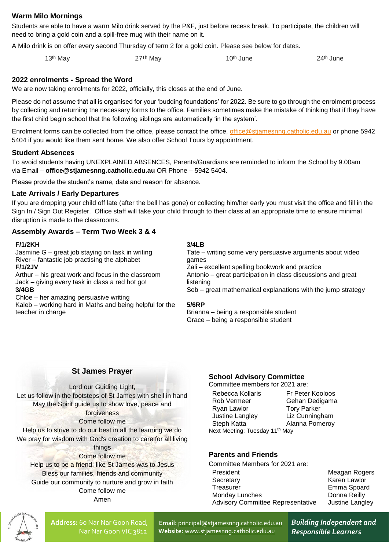## **Warm Milo Mornings**

Students are able to have a warm Milo drink served by the P&F, just before recess break. To participate, the children will need to bring a gold coin and a spill-free mug with their name on it.

A Milo drink is on offer every second Thursday of term 2 for a gold coin. Please see below for dates.

 $13^{\text{th}}$  May  $27^{\text{Th}}$  May  $10^{\text{th}}$  June  $24^{\text{th}}$  June

### **2022 enrolments - Spread the Word**

We are now taking enrolments for 2022, officially, this closes at the end of June.

Please do not assume that all is organised for your 'budding foundations' for 2022. Be sure to go through the enrolment process by collecting and returning the necessary forms to the office. Families sometimes make the mistake of thinking that if they have the first child begin school that the following siblings are automatically 'in the system'.

Enrolment forms can be collected from the office, please contact the office, [office@stjamesnng.catholic.edu.au](mailto:office@stjamesnng.catholic.edu.au) or phone 5942 5404 if you would like them sent home. We also offer School Tours by appointment.

### **Student Absences**

To avoid students having UNEXPLAINED ABSENCES, Parents/Guardians are reminded to inform the School by 9.00am via Email – **office@stjamesnng.catholic.edu.au** OR Phone – 5942 5404.

Please provide the student's name, date and reason for absence.

### **Late Arrivals / Early Departures**

If you are dropping your child off late (after the bell has gone) or collecting him/her early you must visit the office and fill in the Sign In / Sign Out Register. Office staff will take your child through to their class at an appropriate time to ensure minimal disruption is made to the classrooms.

### **Assembly Awards – Term Two Week 3 & 4**

#### **F/1/2KH**

Jasmine G – great job staying on task in writing River – fantastic job practising the alphabet **F/1/2JV**

Arthur – his great work and focus in the classroom Jack – giving every task in class a red hot go! **3/4GB**

Chloe – her amazing persuasive writing

Kaleb – working hard in Maths and being helpful for the teacher in charge

#### **3/4LB**

Tate – writing some very persuasive arguments about video games Zali – excellent spelling bookwork and practice Antonio – great participation in class discussions and great listening Seb – great mathematical explanations with the jump strategy

#### **5/6RP**

Brianna – being a responsible student Grace – being a responsible student

### **St James Prayer**

Lord our Guiding Light, Let us follow in the footsteps of St James with shell in hand May the Spirit guide us to show love, peace and forgiveness Come follow me Help us to strive to do our best in all the learning we do We pray for wisdom with God's creation to care for all living

things Come follow me Help us to be a friend, like St James was to Jesus Bless our families, friends and community Guide our community to nurture and grow in faith Come follow me Amen

## **School Advisory Committee**

Committee members for 2021 are:

| Rebecca Kollaris                           | Fr Peter Kooloos   |  |
|--------------------------------------------|--------------------|--|
| Rob Vermeer                                | Gehan Dedigama     |  |
| Ryan Lawlor                                | <b>Tory Parker</b> |  |
| Justine Langley                            | Liz Cunningham     |  |
| Steph Katta                                | Alanna Pomeroy     |  |
| Next Meeting: Tuesday 11 <sup>th</sup> May |                    |  |

### **Parents and Friends**

Committee Members for 2021 are: President Meagan Rogers Secretary **Karen Lawlor** Treasurer **Emma** Spoard Monday Lunches **Donna Reilly** Advisory Committee Representative Justine Langley



**Address:** 60 Nar Nar Goon Road, Nar Nar Goon VIC 3812

**Email:** [principal@stjamesnng.catholic.edu.au](mailto:principal@stjamesnng.catholic.edu.au) **Website:** [www.stjamesnng.catholic.edu.au](http://www.stjamesnng.catholic.edu.au/)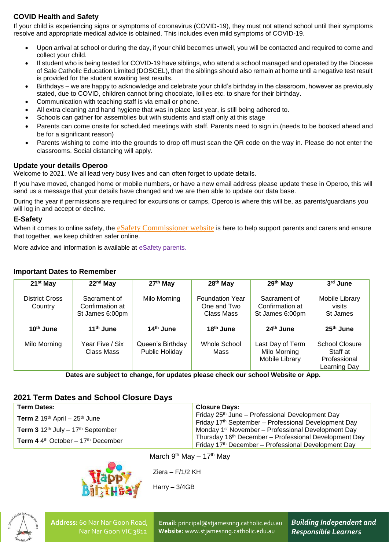# **COVID Health and Safety**

If your child is experiencing signs or symptoms of coronavirus (COVID-19), they must not attend school until their symptoms resolve and appropriate medical advice is obtained. This includes even mild symptoms of COVID-19.

- Upon arrival at school or during the day, if your child becomes unwell, you will be contacted and required to come and collect your child.
- If student who is being tested for COVID-19 have siblings, who attend a school managed and operated by the Diocese of Sale Catholic Education Limited (DOSCEL), then the siblings should also remain at home until a negative test result is provided for the student awaiting test results.
- Birthdays we are happy to acknowledge and celebrate your child's birthday in the classroom, however as previously stated, due to COVID, children cannot bring chocolate, lollies etc. to share for their birthday.
- Communication with teaching staff is via email or phone.
- All extra cleaning and hand hygiene that was in place last year, is still being adhered to.
- Schools can gather for assemblies but with students and staff only at this stage
- Parents can come onsite for scheduled meetings with staff. Parents need to sign in.(needs to be booked ahead and be for a significant reason)
- Parents wishing to come into the grounds to drop off must scan the QR code on the way in. Please do not enter the classrooms. Social distancing will apply.

## **Update your details Operoo**

Welcome to 2021. We all lead very busy lives and can often forget to update details.

If you have moved, changed home or mobile numbers, or have a new email address please update these in Operoo, this will send us a message that your details have changed and we are then able to update our data base.

During the year if permissions are required for excursions or camps, Operoo is where this will be, as parents/guardians you will log in and accept or decline.

## **E-Safety**

When it comes to online safety, the [eSafety Commissioner website](https://www.esafety.gov.au/parents) is here to help support parents and carers and ensure that together, we keep children safer online.

More advice and information is available at [eSafety parents.](https://www.esafety.gov.au/parents)

## **Important Dates to Remember**

| 21 <sup>st</sup> May      | $22nd$ May                                         | 27 <sup>th</sup> May               | 28 <sup>th</sup> May                                | 29th May                                           | 3 <sup>rd</sup> June                                       |
|---------------------------|----------------------------------------------------|------------------------------------|-----------------------------------------------------|----------------------------------------------------|------------------------------------------------------------|
| District Cross<br>Country | Sacrament of<br>Confirmation at<br>St James 6:00pm | Milo Morning                       | <b>Foundation Year</b><br>One and Two<br>Class Mass | Sacrament of<br>Confirmation at<br>St James 6:00pm | Mobile Library<br>visits<br>St James                       |
| 10 <sup>th</sup> June     | 11 <sup>th</sup> June                              | 14 <sup>th</sup> June              | 18 <sup>th</sup> June                               | 24 <sup>th</sup> June                              | $25th$ June                                                |
| Milo Morning              | Year Five / Six<br>Class Mass                      | Queen's Birthday<br>Public Holiday | Whole School<br>Mass                                | Last Day of Term<br>Milo Morning<br>Mobile Library | School Closure<br>Staff at<br>Professional<br>Learning Day |

**Dates are subject to change, for updates please check our school Website or App.**

# **2021 Term Dates and School Closure Days**

| <b>Term Dates:</b>                                                 | <b>Closure Days:</b>                                              |  |  |
|--------------------------------------------------------------------|-------------------------------------------------------------------|--|--|
| <b>Term 2</b> 19 <sup>th</sup> April – 25 <sup>th</sup> June       | Friday $25th$ June – Professional Development Day                 |  |  |
|                                                                    | Friday 17 <sup>th</sup> September - Professional Development Day  |  |  |
| <b>Term 3</b> $12^{th}$ July $-17^{th}$ September                  | Monday 1 <sup>st</sup> November – Professional Development Day    |  |  |
| <b>Term 4</b> 4 <sup>th</sup> October $-17$ <sup>th</sup> December | Thursday 16 <sup>th</sup> December - Professional Development Day |  |  |
|                                                                    | Friday 17th December - Professional Development Day               |  |  |



March  $9^{th}$  Mav – 17<sup>th</sup> Mav

Ziera – F/1/2 KH

Harry – 3/4GB



**Address:** 60 Nar Nar Goon Road, Nar Nar Goon VIC 3812

**Email:** [principal@stjamesnng.catholic.edu.au](mailto:principal@stjamesnng.catholic.edu.au) **Website:** [www.stjamesnng.catholic.edu.au](http://www.stjamesnng.catholic.edu.au/)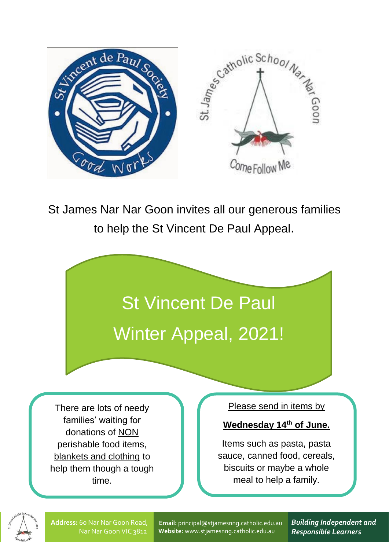

St James Nar Nar Goon invites all our generous families to help the St Vincent De Paul Appeal.



There are lots of needy families' waiting for donations of NON perishable food items, blankets and clothing to help them though a tough time.

Please send in items by

**Wednesday 14th of June.**

Items such as pasta, pasta sauce, canned food, cereals, biscuits or maybe a whole meal to help a family.

**Address:** 60 Nar Nar Goon Road, Nar Nar Goon VIC 3812

**Email:** [principal@stjamesnng.catholic.edu.au](mailto:principal@stjamesnng.catholic.edu.au) **Website:** [www.stjamesnng.catholic.edu.au](http://www.stjamesnng.catholic.edu.au/)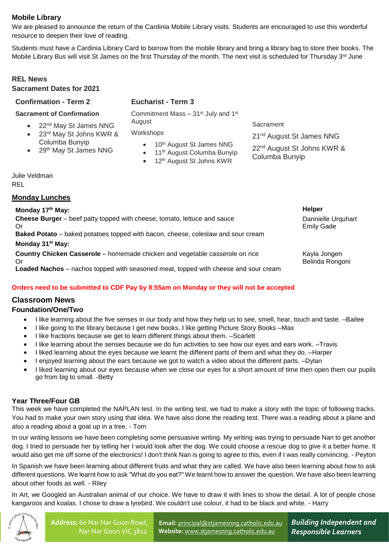# **Mobile Library**

We are pleased to announce the return of the Cardinia Mobile Library visits. Students are encouraged to use this wonderful resource to deepen their love of reading.

Students must have a Cardinia Library Card to borrow from the mobile library and bring a library bag to store their books. The Mobile Library Bus will visit St James on the first Thursday of the month. The next visit is scheduled for Thursday 3<sup>rd</sup> June

## **REL News**

#### **Sacrament Dates for 2021**

### **Confirmation - Term 2**

## **Eucharist - Term 3**

**Sacrament of Confirmation**

- 22<sup>nd</sup> May St James NNG
- 23<sup>rd</sup> May St Johns KWR & Columba Bunyip
- 29<sup>th</sup> May St James NNG
- Commitment Mass 31<sup>st</sup> July and 1<sup>st</sup> **August**

**Workshops** 

- 10th August St James NNG
- 11th August Columba Bunyip
- 12th August St Johns KWR

**Sacrament** 

21<sup>nd</sup> August St James NNG

22<sup>nd</sup> August St Johns KWR & Columba Bunyip

Julie Veldman REL

## **Monday Lunches**

**Monday 17th May: Helper Cheese Burger** – beef patty topped with cheese, tomato, lettuce and sauce Or **Baked Potato** – baked potatoes topped with bacon, cheese, coleslaw and sour cream Dannielle Urquhart Emily Gade **Monday 31st May: Country Chicken Casserole** – homemade chicken and vegetable casserole on rice Or **Loaded Nachos** – nachos topped with seasoned meat, topped with cheese and sour cream Kayla Jongen Belinda Rongoni

## **Orders need to be submitted to CDF Pay by 8:55am on Monday or they will not be accepted**

## **Classroom News**

### **Foundation/One/Two**

- I like learning about the five senses in our body and how they help us to see, smell, hear, touch and taste. –Bailee
- I like going to the library because I get new books. I like getting Picture Story Books –Max
- I like fractions because we get to learn different things about them. –Scarlett
- I like learning about the senses because we do fun activities to see how our eyes and ears work. –Travis
- I liked learning about the eyes because we learnt the different parts of them and what they do. –Harper
- I enjoyed learning about the ears because we got to watch a video about the different parts. –Dylan
- I liked learning about our eyes because when we close our eyes for a short amount of time then open them our pupils go from big to small. -Betty

## **Year Three/Four GB**

This week we have completed the NAPLAN test. In the writing test, we had to make a story with the topic of following tracks. You had to make your own story using that idea. We have also done the reading test. There was a reading about a plane and also a reading about a goat up in a tree. - Tom

In our writing lessons we have been completing some persuasive writing. My writing was trying to persuade Nan to get another dog. I tried to persuade her by telling her I would look after the dog. We could choose a rescue dog to give it a better home. It would also get me off some of the electronics! I don't think Nan is going to agree to this, even if I was really convincing. - Peyton

In Spanish we have been learning about different fruits and what they are called. We have also been learning about how to ask different questions. We learnt how to ask "What do you eat?" We learnt how to answer the question. We have also been learning about other foods as well. - Riley

In Art, we Googled an Australian animal of our choice. We have to draw it with lines to show the detail. A lot of people chose kangaroos and koalas. I chose to draw a lyrebird. We couldn't use colour, it had to be black and white. - Harry



**Email:** [principal@stjamesnng.catholic.edu.au](mailto:principal@stjamesnng.catholic.edu.au) **Website:** [www.stjamesnng.catholic.edu.au](http://www.stjamesnng.catholic.edu.au/)